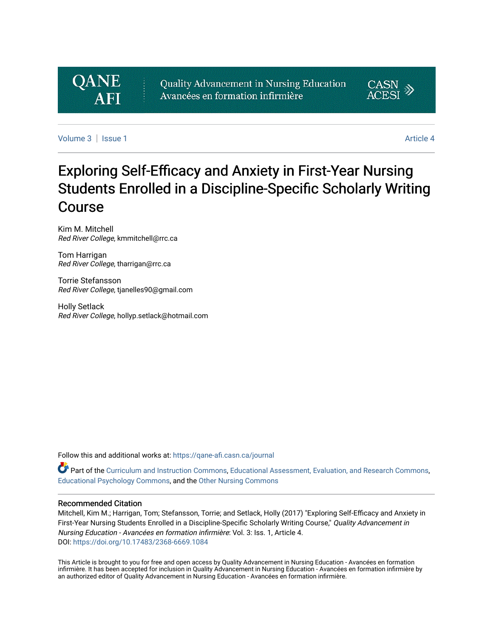# **QANE**

Quality Advancement in Nursing Education Avancées en formation infirmière



[Volume 3](https://qane-afi.casn.ca/journal/vol3) | [Issue 1](https://qane-afi.casn.ca/journal/vol3/iss1) Article 4

# Exploring Self-Efficacy and Anxiety in First-Year Nursing Students Enrolled in a Discipline-Specific Scholarly Writing Course

Kim M. Mitchell Red River College, kmmitchell@rrc.ca

Tom Harrigan Red River College, tharrigan@rrc.ca

Torrie Stefansson Red River College, tjanelles90@gmail.com

Holly Setlack Red River College, hollyp.setlack@hotmail.com

Follow this and additional works at: [https://qane-afi.casn.ca/journal](https://qane-afi.casn.ca/journal?utm_source=qane-afi.casn.ca%2Fjournal%2Fvol3%2Fiss1%2F4&utm_medium=PDF&utm_campaign=PDFCoverPages) 

Part of the [Curriculum and Instruction Commons,](http://network.bepress.com/hgg/discipline/786?utm_source=qane-afi.casn.ca%2Fjournal%2Fvol3%2Fiss1%2F4&utm_medium=PDF&utm_campaign=PDFCoverPages) [Educational Assessment, Evaluation, and Research Commons](http://network.bepress.com/hgg/discipline/796?utm_source=qane-afi.casn.ca%2Fjournal%2Fvol3%2Fiss1%2F4&utm_medium=PDF&utm_campaign=PDFCoverPages), [Educational Psychology Commons,](http://network.bepress.com/hgg/discipline/798?utm_source=qane-afi.casn.ca%2Fjournal%2Fvol3%2Fiss1%2F4&utm_medium=PDF&utm_campaign=PDFCoverPages) and the [Other Nursing Commons](http://network.bepress.com/hgg/discipline/729?utm_source=qane-afi.casn.ca%2Fjournal%2Fvol3%2Fiss1%2F4&utm_medium=PDF&utm_campaign=PDFCoverPages) 

#### Recommended Citation

Mitchell, Kim M.; Harrigan, Tom; Stefansson, Torrie; and Setlack, Holly (2017) "Exploring Self-Efficacy and Anxiety in First-Year Nursing Students Enrolled in a Discipline-Specific Scholarly Writing Course," Quality Advancement in Nursing Education - Avancées en formation infirmière: Vol. 3: Iss. 1, Article 4. DOI: <https://doi.org/10.17483/2368-6669.1084>

This Article is brought to you for free and open access by Quality Advancement in Nursing Education - Avancées en formation infirmière. It has been accepted for inclusion in Quality Advancement in Nursing Education - Avancées en formation infirmière by an authorized editor of Quality Advancement in Nursing Education - Avancées en formation infirmière.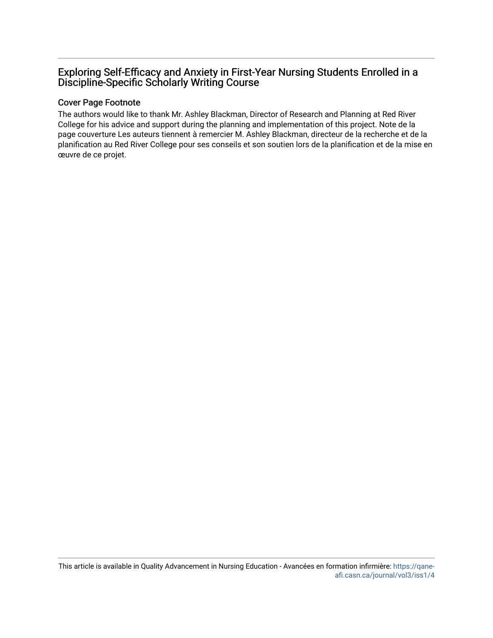# Exploring Self-Efficacy and Anxiety in First-Year Nursing Students Enrolled in a Discipline-Specific Scholarly Writing Course

#### Cover Page Footnote

The authors would like to thank Mr. Ashley Blackman, Director of Research and Planning at Red River College for his advice and support during the planning and implementation of this project. Note de la page couverture Les auteurs tiennent à remercier M. Ashley Blackman, directeur de la recherche et de la planification au Red River College pour ses conseils et son soutien lors de la planification et de la mise en œuvre de ce projet.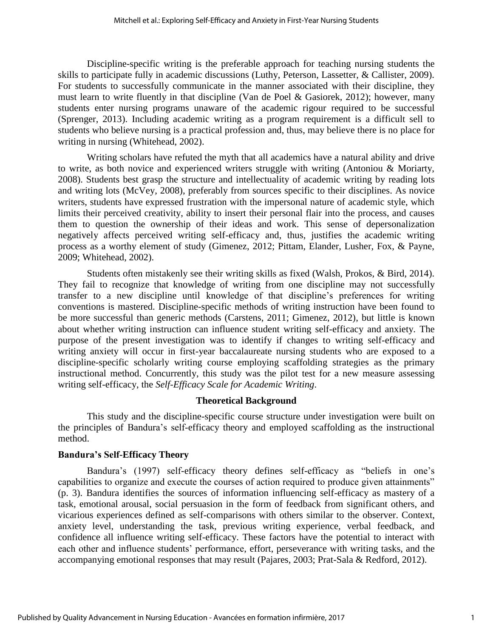Discipline-specific writing is the preferable approach for teaching nursing students the skills to participate fully in academic discussions (Luthy, Peterson, Lassetter, & Callister, 2009). For students to successfully communicate in the manner associated with their discipline, they must learn to write fluently in that discipline (Van de Poel & Gasiorek, 2012); however, many students enter nursing programs unaware of the academic rigour required to be successful (Sprenger, 2013). Including academic writing as a program requirement is a difficult sell to students who believe nursing is a practical profession and, thus, may believe there is no place for writing in nursing (Whitehead, 2002).

Writing scholars have refuted the myth that all academics have a natural ability and drive to write, as both novice and experienced writers struggle with writing (Antoniou & Moriarty, 2008). Students best grasp the structure and intellectuality of academic writing by reading lots and writing lots (McVey, 2008), preferably from sources specific to their disciplines. As novice writers, students have expressed frustration with the impersonal nature of academic style, which limits their perceived creativity, ability to insert their personal flair into the process, and causes them to question the ownership of their ideas and work. This sense of depersonalization negatively affects perceived writing self-efficacy and, thus, justifies the academic writing process as a worthy element of study (Gimenez, 2012; Pittam, Elander, Lusher, Fox, & Payne, 2009; Whitehead, 2002).

Students often mistakenly see their writing skills as fixed (Walsh, Prokos, & Bird, 2014). They fail to recognize that knowledge of writing from one discipline may not successfully transfer to a new discipline until knowledge of that discipline's preferences for writing conventions is mastered. Discipline-specific methods of writing instruction have been found to be more successful than generic methods (Carstens, 2011; Gimenez, 2012), but little is known about whether writing instruction can influence student writing self-efficacy and anxiety. The purpose of the present investigation was to identify if changes to writing self-efficacy and writing anxiety will occur in first-year baccalaureate nursing students who are exposed to a discipline-specific scholarly writing course employing scaffolding strategies as the primary instructional method. Concurrently, this study was the pilot test for a new measure assessing writing self-efficacy, the *Self-Efficacy Scale for Academic Writing*.

#### **Theoretical Background**

This study and the discipline-specific course structure under investigation were built on the principles of Bandura's self-efficacy theory and employed scaffolding as the instructional method.

#### **Bandura's Self-Efficacy Theory**

Bandura's (1997) self-efficacy theory defines self-efficacy as "beliefs in one's capabilities to organize and execute the courses of action required to produce given attainments" (p. 3). Bandura identifies the sources of information influencing self-efficacy as mastery of a task, emotional arousal, social persuasion in the form of feedback from significant others, and vicarious experiences defined as self-comparisons with others similar to the observer. Context, anxiety level, understanding the task, previous writing experience, verbal feedback, and confidence all influence writing self-efficacy. These factors have the potential to interact with each other and influence students' performance, effort, perseverance with writing tasks, and the accompanying emotional responses that may result (Pajares, 2003; Prat-Sala & Redford, 2012).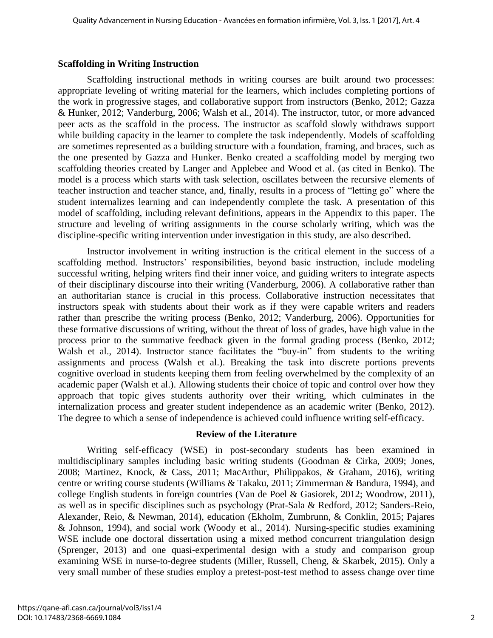#### **Scaffolding in Writing Instruction**

Scaffolding instructional methods in writing courses are built around two processes: appropriate leveling of writing material for the learners, which includes completing portions of the work in progressive stages, and collaborative support from instructors (Benko, 2012; Gazza & Hunker, 2012; Vanderburg, 2006; Walsh et al., 2014). The instructor, tutor, or more advanced peer acts as the scaffold in the process. The instructor as scaffold slowly withdraws support while building capacity in the learner to complete the task independently. Models of scaffolding are sometimes represented as a building structure with a foundation, framing, and braces, such as the one presented by Gazza and Hunker. Benko created a scaffolding model by merging two scaffolding theories created by Langer and Applebee and Wood et al. (as cited in Benko). The model is a process which starts with task selection, oscillates between the recursive elements of teacher instruction and teacher stance, and, finally, results in a process of "letting go" where the student internalizes learning and can independently complete the task. A presentation of this model of scaffolding, including relevant definitions, appears in the Appendix to this paper. The structure and leveling of writing assignments in the course scholarly writing, which was the discipline-specific writing intervention under investigation in this study, are also described.

Instructor involvement in writing instruction is the critical element in the success of a scaffolding method. Instructors' responsibilities, beyond basic instruction, include modeling successful writing, helping writers find their inner voice, and guiding writers to integrate aspects of their disciplinary discourse into their writing (Vanderburg, 2006). A collaborative rather than an authoritarian stance is crucial in this process. Collaborative instruction necessitates that instructors speak with students about their work as if they were capable writers and readers rather than prescribe the writing process (Benko, 2012; Vanderburg, 2006). Opportunities for these formative discussions of writing, without the threat of loss of grades, have high value in the process prior to the summative feedback given in the formal grading process (Benko, 2012; Walsh et al., 2014). Instructor stance facilitates the "buy-in" from students to the writing assignments and process (Walsh et al.). Breaking the task into discrete portions prevents cognitive overload in students keeping them from feeling overwhelmed by the complexity of an academic paper (Walsh et al.). Allowing students their choice of topic and control over how they approach that topic gives students authority over their writing, which culminates in the internalization process and greater student independence as an academic writer (Benko, 2012). The degree to which a sense of independence is achieved could influence writing self-efficacy.

#### **Review of the Literature**

Writing self-efficacy (WSE) in post-secondary students has been examined in multidisciplinary samples including basic writing students (Goodman & Cirka, 2009; Jones, 2008; Martinez, Knock, & Cass, 2011; MacArthur, Philippakos, & Graham, 2016), writing centre or writing course students (Williams & Takaku, 2011; Zimmerman & Bandura, 1994), and college English students in foreign countries (Van de Poel & Gasiorek, 2012; Woodrow, 2011), as well as in specific disciplines such as psychology (Prat-Sala & Redford, 2012; Sanders-Reio, Alexander, Reio, & Newman, 2014), education (Ekholm, Zumbrunn, & Conklin, 2015; Pajares & Johnson, 1994), and social work (Woody et al., 2014). Nursing-specific studies examining WSE include one doctoral dissertation using a mixed method concurrent triangulation design (Sprenger, 2013) and one quasi-experimental design with a study and comparison group examining WSE in nurse-to-degree students (Miller, Russell, Cheng, & Skarbek, 2015). Only a very small number of these studies employ a pretest-post-test method to assess change over time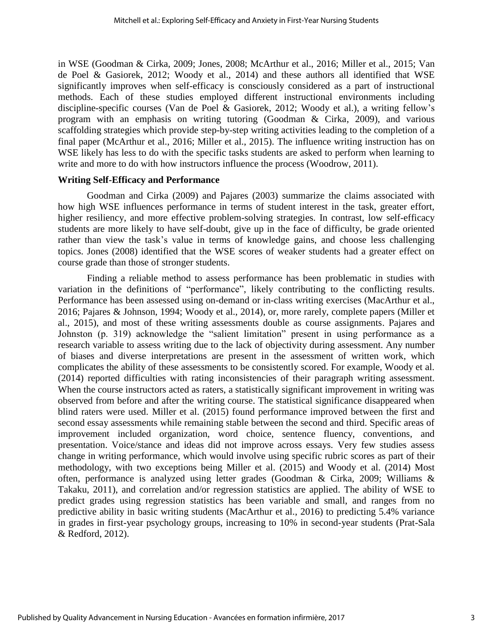in WSE (Goodman & Cirka, 2009; Jones, 2008; McArthur et al., 2016; Miller et al., 2015; Van de Poel & Gasiorek, 2012; Woody et al., 2014) and these authors all identified that WSE significantly improves when self-efficacy is consciously considered as a part of instructional methods. Each of these studies employed different instructional environments including discipline-specific courses (Van de Poel & Gasiorek, 2012; Woody et al.), a writing fellow's program with an emphasis on writing tutoring (Goodman & Cirka, 2009), and various scaffolding strategies which provide step-by-step writing activities leading to the completion of a final paper (McArthur et al., 2016; Miller et al., 2015). The influence writing instruction has on WSE likely has less to do with the specific tasks students are asked to perform when learning to write and more to do with how instructors influence the process (Woodrow, 2011).

#### **Writing Self-Efficacy and Performance**

Goodman and Cirka (2009) and Pajares (2003) summarize the claims associated with how high WSE influences performance in terms of student interest in the task, greater effort, higher resiliency, and more effective problem-solving strategies. In contrast, low self-efficacy students are more likely to have self-doubt, give up in the face of difficulty, be grade oriented rather than view the task's value in terms of knowledge gains, and choose less challenging topics. Jones (2008) identified that the WSE scores of weaker students had a greater effect on course grade than those of stronger students.

Finding a reliable method to assess performance has been problematic in studies with variation in the definitions of "performance", likely contributing to the conflicting results. Performance has been assessed using on-demand or in-class writing exercises (MacArthur et al., 2016; Pajares & Johnson, 1994; Woody et al., 2014), or, more rarely, complete papers (Miller et al., 2015), and most of these writing assessments double as course assignments. Pajares and Johnston (p. 319) acknowledge the "salient limitation" present in using performance as a research variable to assess writing due to the lack of objectivity during assessment. Any number of biases and diverse interpretations are present in the assessment of written work, which complicates the ability of these assessments to be consistently scored. For example, Woody et al. (2014) reported difficulties with rating inconsistencies of their paragraph writing assessment. When the course instructors acted as raters, a statistically significant improvement in writing was observed from before and after the writing course. The statistical significance disappeared when blind raters were used. Miller et al. (2015) found performance improved between the first and second essay assessments while remaining stable between the second and third. Specific areas of improvement included organization, word choice, sentence fluency, conventions, and presentation. Voice/stance and ideas did not improve across essays. Very few studies assess change in writing performance, which would involve using specific rubric scores as part of their methodology, with two exceptions being Miller et al. (2015) and Woody et al. (2014) Most often, performance is analyzed using letter grades (Goodman & Cirka, 2009; Williams & Takaku, 2011), and correlation and/or regression statistics are applied. The ability of WSE to predict grades using regression statistics has been variable and small, and ranges from no predictive ability in basic writing students (MacArthur et al., 2016) to predicting 5.4% variance in grades in first-year psychology groups, increasing to 10% in second-year students (Prat-Sala & Redford, 2012).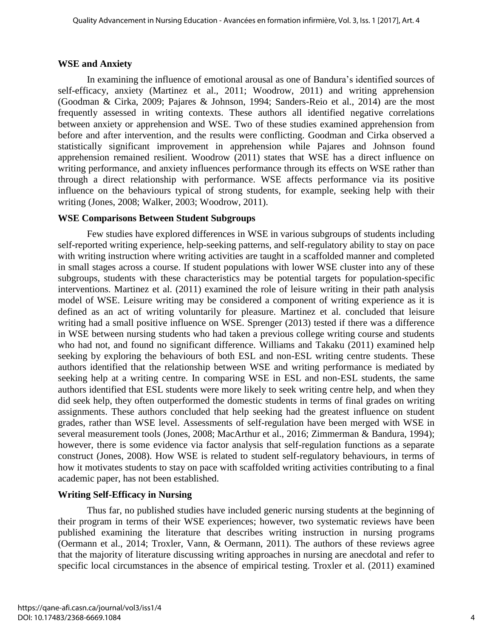#### **WSE and Anxiety**

In examining the influence of emotional arousal as one of Bandura's identified sources of self-efficacy, anxiety (Martinez et al., 2011; Woodrow, 2011) and writing apprehension (Goodman & Cirka, 2009; Pajares & Johnson, 1994; Sanders-Reio et al., 2014) are the most frequently assessed in writing contexts. These authors all identified negative correlations between anxiety or apprehension and WSE. Two of these studies examined apprehension from before and after intervention, and the results were conflicting. Goodman and Cirka observed a statistically significant improvement in apprehension while Pajares and Johnson found apprehension remained resilient. Woodrow (2011) states that WSE has a direct influence on writing performance, and anxiety influences performance through its effects on WSE rather than through a direct relationship with performance. WSE affects performance via its positive influence on the behaviours typical of strong students, for example, seeking help with their writing (Jones, 2008; Walker, 2003; Woodrow, 2011).

#### **WSE Comparisons Between Student Subgroups**

Few studies have explored differences in WSE in various subgroups of students including self-reported writing experience, help-seeking patterns, and self-regulatory ability to stay on pace with writing instruction where writing activities are taught in a scaffolded manner and completed in small stages across a course. If student populations with lower WSE cluster into any of these subgroups, students with these characteristics may be potential targets for population-specific interventions. Martinez et al. (2011) examined the role of leisure writing in their path analysis model of WSE. Leisure writing may be considered a component of writing experience as it is defined as an act of writing voluntarily for pleasure. Martinez et al. concluded that leisure writing had a small positive influence on WSE. Sprenger (2013) tested if there was a difference in WSE between nursing students who had taken a previous college writing course and students who had not, and found no significant difference. Williams and Takaku (2011) examined help seeking by exploring the behaviours of both ESL and non-ESL writing centre students. These authors identified that the relationship between WSE and writing performance is mediated by seeking help at a writing centre. In comparing WSE in ESL and non-ESL students, the same authors identified that ESL students were more likely to seek writing centre help, and when they did seek help, they often outperformed the domestic students in terms of final grades on writing assignments. These authors concluded that help seeking had the greatest influence on student grades, rather than WSE level. Assessments of self-regulation have been merged with WSE in several measurement tools (Jones, 2008; MacArthur et al., 2016; Zimmerman & Bandura, 1994); however, there is some evidence via factor analysis that self-regulation functions as a separate construct (Jones, 2008). How WSE is related to student self-regulatory behaviours, in terms of how it motivates students to stay on pace with scaffolded writing activities contributing to a final academic paper, has not been established.

# **Writing Self-Efficacy in Nursing**

Thus far, no published studies have included generic nursing students at the beginning of their program in terms of their WSE experiences; however, two systematic reviews have been published examining the literature that describes writing instruction in nursing programs (Oermann et al., 2014; Troxler, Vann, & Oermann, 2011). The authors of these reviews agree that the majority of literature discussing writing approaches in nursing are anecdotal and refer to specific local circumstances in the absence of empirical testing. Troxler et al. (2011) examined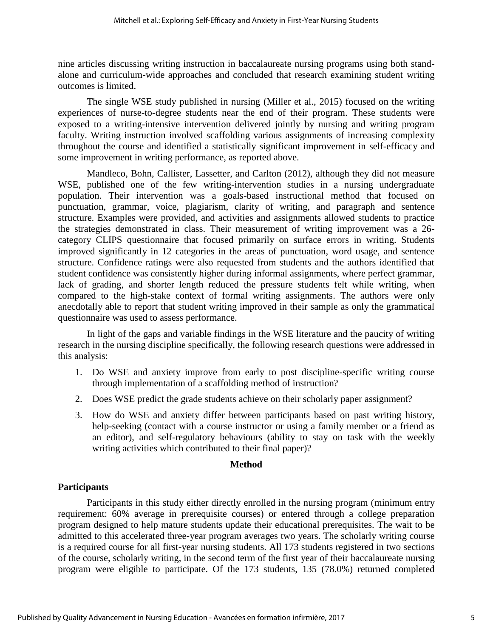nine articles discussing writing instruction in baccalaureate nursing programs using both standalone and curriculum-wide approaches and concluded that research examining student writing outcomes is limited.

The single WSE study published in nursing (Miller et al., 2015) focused on the writing experiences of nurse-to-degree students near the end of their program. These students were exposed to a writing-intensive intervention delivered jointly by nursing and writing program faculty. Writing instruction involved scaffolding various assignments of increasing complexity throughout the course and identified a statistically significant improvement in self-efficacy and some improvement in writing performance, as reported above.

Mandleco, Bohn, Callister, Lassetter, and Carlton (2012), although they did not measure WSE, published one of the few writing-intervention studies in a nursing undergraduate population. Their intervention was a goals-based instructional method that focused on punctuation, grammar, voice, plagiarism, clarity of writing, and paragraph and sentence structure. Examples were provided, and activities and assignments allowed students to practice the strategies demonstrated in class. Their measurement of writing improvement was a 26 category CLIPS questionnaire that focused primarily on surface errors in writing. Students improved significantly in 12 categories in the areas of punctuation, word usage, and sentence structure. Confidence ratings were also requested from students and the authors identified that student confidence was consistently higher during informal assignments, where perfect grammar, lack of grading, and shorter length reduced the pressure students felt while writing, when compared to the high-stake context of formal writing assignments. The authors were only anecdotally able to report that student writing improved in their sample as only the grammatical questionnaire was used to assess performance.

In light of the gaps and variable findings in the WSE literature and the paucity of writing research in the nursing discipline specifically, the following research questions were addressed in this analysis:

- 1. Do WSE and anxiety improve from early to post discipline-specific writing course through implementation of a scaffolding method of instruction?
- 2. Does WSE predict the grade students achieve on their scholarly paper assignment?
- 3. How do WSE and anxiety differ between participants based on past writing history, help-seeking (contact with a course instructor or using a family member or a friend as an editor), and self-regulatory behaviours (ability to stay on task with the weekly writing activities which contributed to their final paper)?

#### **Method**

# **Participants**

Participants in this study either directly enrolled in the nursing program (minimum entry requirement: 60% average in prerequisite courses) or entered through a college preparation program designed to help mature students update their educational prerequisites. The wait to be admitted to this accelerated three-year program averages two years. The scholarly writing course is a required course for all first-year nursing students. All 173 students registered in two sections of the course, scholarly writing, in the second term of the first year of their baccalaureate nursing program were eligible to participate. Of the 173 students, 135 (78.0%) returned completed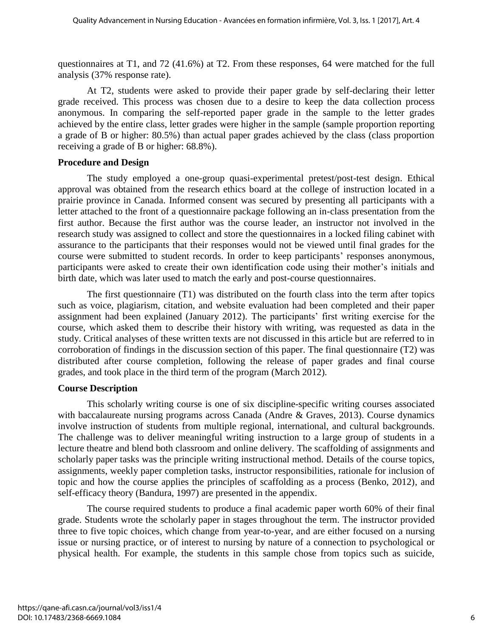questionnaires at T1, and 72 (41.6%) at T2. From these responses, 64 were matched for the full analysis (37% response rate).

At T2, students were asked to provide their paper grade by self-declaring their letter grade received. This process was chosen due to a desire to keep the data collection process anonymous. In comparing the self-reported paper grade in the sample to the letter grades achieved by the entire class, letter grades were higher in the sample (sample proportion reporting a grade of B or higher: 80.5%) than actual paper grades achieved by the class (class proportion receiving a grade of B or higher: 68.8%).

#### **Procedure and Design**

The study employed a one-group quasi-experimental pretest/post-test design. Ethical approval was obtained from the research ethics board at the college of instruction located in a prairie province in Canada. Informed consent was secured by presenting all participants with a letter attached to the front of a questionnaire package following an in-class presentation from the first author. Because the first author was the course leader, an instructor not involved in the research study was assigned to collect and store the questionnaires in a locked filing cabinet with assurance to the participants that their responses would not be viewed until final grades for the course were submitted to student records. In order to keep participants' responses anonymous, participants were asked to create their own identification code using their mother's initials and birth date, which was later used to match the early and post-course questionnaires.

The first questionnaire (T1) was distributed on the fourth class into the term after topics such as voice, plagiarism, citation, and website evaluation had been completed and their paper assignment had been explained (January 2012). The participants' first writing exercise for the course, which asked them to describe their history with writing, was requested as data in the study. Critical analyses of these written texts are not discussed in this article but are referred to in corroboration of findings in the discussion section of this paper. The final questionnaire (T2) was distributed after course completion, following the release of paper grades and final course grades, and took place in the third term of the program (March 2012).

# **Course Description**

This scholarly writing course is one of six discipline-specific writing courses associated with baccalaureate nursing programs across Canada (Andre & Graves, 2013). Course dynamics involve instruction of students from multiple regional, international, and cultural backgrounds. The challenge was to deliver meaningful writing instruction to a large group of students in a lecture theatre and blend both classroom and online delivery. The scaffolding of assignments and scholarly paper tasks was the principle writing instructional method. Details of the course topics, assignments, weekly paper completion tasks, instructor responsibilities, rationale for inclusion of topic and how the course applies the principles of scaffolding as a process (Benko, 2012), and self-efficacy theory (Bandura, 1997) are presented in the appendix.

The course required students to produce a final academic paper worth 60% of their final grade. Students wrote the scholarly paper in stages throughout the term. The instructor provided three to five topic choices, which change from year-to-year, and are either focused on a nursing issue or nursing practice, or of interest to nursing by nature of a connection to psychological or physical health. For example, the students in this sample chose from topics such as suicide,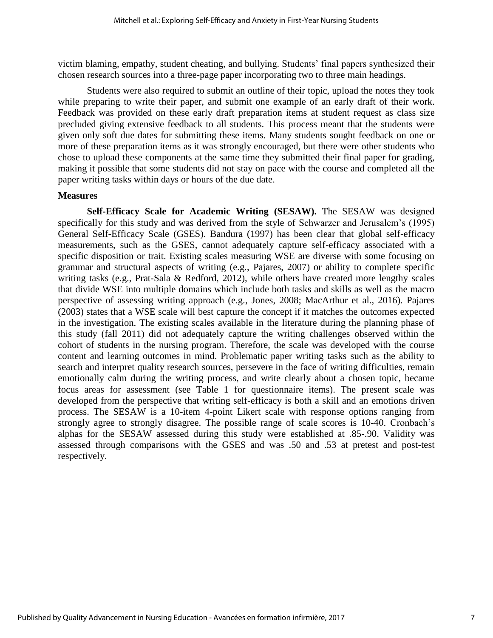victim blaming, empathy, student cheating, and bullying. Students' final papers synthesized their chosen research sources into a three-page paper incorporating two to three main headings.

Students were also required to submit an outline of their topic, upload the notes they took while preparing to write their paper, and submit one example of an early draft of their work. Feedback was provided on these early draft preparation items at student request as class size precluded giving extensive feedback to all students. This process meant that the students were given only soft due dates for submitting these items. Many students sought feedback on one or more of these preparation items as it was strongly encouraged, but there were other students who chose to upload these components at the same time they submitted their final paper for grading, making it possible that some students did not stay on pace with the course and completed all the paper writing tasks within days or hours of the due date.

#### **Measures**

**Self-Efficacy Scale for Academic Writing (SESAW).** The SESAW was designed specifically for this study and was derived from the style of Schwarzer and Jerusalem's (1995) General Self-Efficacy Scale (GSES). Bandura (1997) has been clear that global self-efficacy measurements, such as the GSES, cannot adequately capture self-efficacy associated with a specific disposition or trait. Existing scales measuring WSE are diverse with some focusing on grammar and structural aspects of writing (e.g., Pajares, 2007) or ability to complete specific writing tasks (e.g., Prat-Sala & Redford, 2012), while others have created more lengthy scales that divide WSE into multiple domains which include both tasks and skills as well as the macro perspective of assessing writing approach (e.g., Jones, 2008; MacArthur et al., 2016). Pajares (2003) states that a WSE scale will best capture the concept if it matches the outcomes expected in the investigation. The existing scales available in the literature during the planning phase of this study (fall 2011) did not adequately capture the writing challenges observed within the cohort of students in the nursing program. Therefore, the scale was developed with the course content and learning outcomes in mind. Problematic paper writing tasks such as the ability to search and interpret quality research sources, persevere in the face of writing difficulties, remain emotionally calm during the writing process, and write clearly about a chosen topic, became focus areas for assessment (see Table 1 for questionnaire items). The present scale was developed from the perspective that writing self-efficacy is both a skill and an emotions driven process. The SESAW is a 10-item 4-point Likert scale with response options ranging from strongly agree to strongly disagree. The possible range of scale scores is 10-40. Cronbach's alphas for the SESAW assessed during this study were established at .85-.90. Validity was assessed through comparisons with the GSES and was .50 and .53 at pretest and post-test respectively.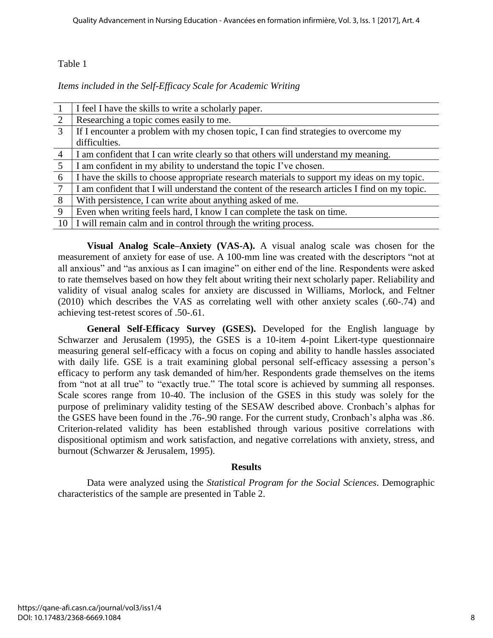#### Table 1

*Items included in the Self-Efficacy Scale for Academic Writing*

|                 | I feel I have the skills to write a scholarly paper.                                           |
|-----------------|------------------------------------------------------------------------------------------------|
| 2               | Researching a topic comes easily to me.                                                        |
| $\mathcal{R}$   | If I encounter a problem with my chosen topic, I can find strategies to overcome my            |
|                 | difficulties.                                                                                  |
| $\overline{4}$  | I am confident that I can write clearly so that others will understand my meaning.             |
| $5\overline{)}$ | I am confident in my ability to understand the topic I've chosen.                              |
| 6               | I have the skills to choose appropriate research materials to support my ideas on my topic.    |
| 7               | I am confident that I will understand the content of the research articles I find on my topic. |
| 8               | With persistence, I can write about anything asked of me.                                      |
| 9               | Even when writing feels hard, I know I can complete the task on time.                          |
| 10              | I will remain calm and in control through the writing process.                                 |

**Visual Analog Scale–Anxiety (VAS-A).** A visual analog scale was chosen for the measurement of anxiety for ease of use. A 100-mm line was created with the descriptors "not at all anxious" and "as anxious as I can imagine" on either end of the line. Respondents were asked to rate themselves based on how they felt about writing their next scholarly paper. Reliability and validity of visual analog scales for anxiety are discussed in Williams, Morlock, and Feltner (2010) which describes the VAS as correlating well with other anxiety scales (.60-.74) and achieving test-retest scores of .50-.61.

**General Self-Efficacy Survey (GSES).** Developed for the English language by Schwarzer and Jerusalem (1995), the GSES is a 10-item 4-point Likert-type questionnaire measuring general self-efficacy with a focus on coping and ability to handle hassles associated with daily life. GSE is a trait examining global personal self-efficacy assessing a person's efficacy to perform any task demanded of him/her. Respondents grade themselves on the items from "not at all true" to "exactly true." The total score is achieved by summing all responses. Scale scores range from 10-40. The inclusion of the GSES in this study was solely for the purpose of preliminary validity testing of the SESAW described above. Cronbach's alphas for the GSES have been found in the .76-.90 range. For the current study, Cronbach's alpha was .86. Criterion-related validity has been established through various positive correlations with dispositional optimism and work satisfaction, and negative correlations with anxiety, stress, and burnout (Schwarzer & Jerusalem, 1995).

#### **Results**

Data were analyzed using the *Statistical Program for the Social Sciences*. Demographic characteristics of the sample are presented in Table 2.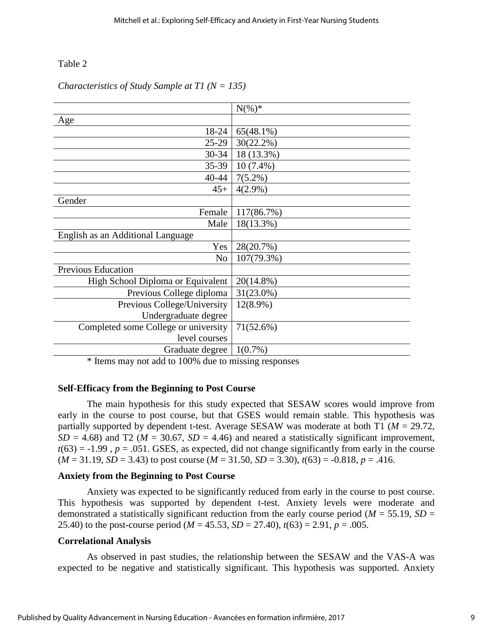#### Table 2

|                                      | $N(\%)^*$    |
|--------------------------------------|--------------|
| Age                                  |              |
| 18-24                                | $65(48.1\%)$ |
| $25-29$                              | $30(22.2\%)$ |
| $30 - 34$                            | 18 (13.3%)   |
| $35-39$                              | $10(7.4\%)$  |
| $40 - 44$                            | $7(5.2\%)$   |
| $45+$                                | $4(2.9\%)$   |
| Gender                               |              |
| Female                               | 117(86.7%)   |
| Male                                 | 18(13.3%)    |
| English as an Additional Language    |              |
| Yes                                  | 28(20.7%)    |
| N <sub>0</sub>                       | 107(79.3%)   |
| Previous Education                   |              |
| High School Diploma or Equivalent    | 20(14.8%)    |
| Previous College diploma             | 31(23.0%)    |
| Previous College/University          | $12(8.9\%)$  |
| Undergraduate degree                 |              |
| Completed some College or university | 71(52.6%)    |
| level courses                        |              |
| Graduate degree                      | $1(0.7\%)$   |
|                                      |              |

#### *Characteristics of Study Sample at T1 (N = 135)*

\* Items may not add to 100% due to missing responses

#### **Self-Efficacy from the Beginning to Post Course**

The main hypothesis for this study expected that SESAW scores would improve from early in the course to post course, but that GSES would remain stable. This hypothesis was partially supported by dependent t-test. Average SESAW was moderate at both T1 (*M* = 29.72,  $SD = 4.68$ ) and T2 ( $M = 30.67$ ,  $SD = 4.46$ ) and neared a statistically significant improvement,  $t(63) = -1.99$ ,  $p = .051$ . GSES, as expected, did not change significantly from early in the course  $(M = 31.19, SD = 3.43)$  to post course  $(M = 31.50, SD = 3.30)$ ,  $t(63) = -0.818$ ,  $p = .416$ .

#### **Anxiety from the Beginning to Post Course**

Anxiety was expected to be significantly reduced from early in the course to post course. This hypothesis was supported by dependent t-test. Anxiety levels were moderate and demonstrated a statistically significant reduction from the early course period ( $M = 55.19$ ,  $SD =$ 25.40) to the post-course period ( $M = 45.53$ ,  $SD = 27.40$ ),  $t(63) = 2.91$ ,  $p = .005$ .

#### **Correlational Analysis**

As observed in past studies, the relationship between the SESAW and the VAS-A was expected to be negative and statistically significant. This hypothesis was supported. Anxiety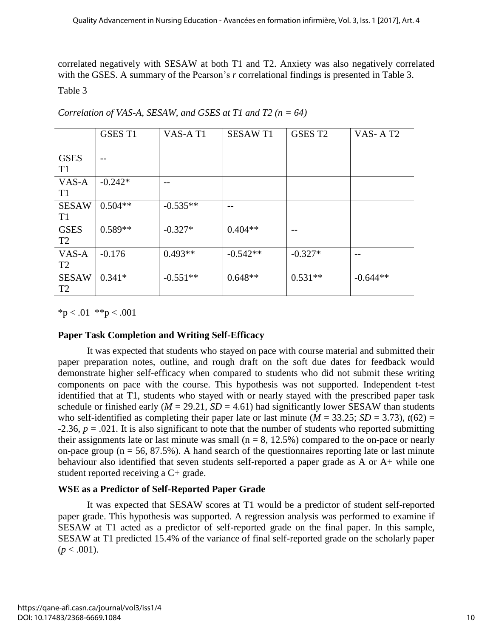correlated negatively with SESAW at both T1 and T2. Anxiety was also negatively correlated with the GSES. A summary of the Pearson's *r* correlational findings is presented in Table 3.

Table 3

|                                | <b>GSES T1</b> | VAS-AT1    | <b>SESAWT1</b> | GSES T <sub>2</sub> | VAS-AT <sub>2</sub> |
|--------------------------------|----------------|------------|----------------|---------------------|---------------------|
| <b>GSES</b><br>T <sub>1</sub>  | --             |            |                |                     |                     |
| VAS-A<br>T <sub>1</sub>        | $-0.242*$      | $- -$      |                |                     |                     |
| <b>SESAW</b><br>T <sub>1</sub> | $0.504**$      | $-0.535**$ | --             |                     |                     |
| <b>GSES</b><br>T <sub>2</sub>  | $0.589**$      | $-0.327*$  | $0.404**$      | --                  |                     |
| VAS-A<br>T <sub>2</sub>        | $-0.176$       | $0.493**$  | $-0.542**$     | $-0.327*$           | $- -$               |
| <b>SESAW</b><br>T <sub>2</sub> | $0.341*$       | $-0.551**$ | $0.648**$      | $0.531**$           | $-0.644**$          |

*Correlation of VAS-A, SESAW, and GSES at T1 and T2 (n = 64)*

 $*_{p} < .01$   $*_{p} < .001$ 

# **Paper Task Completion and Writing Self-Efficacy**

It was expected that students who stayed on pace with course material and submitted their paper preparation notes, outline, and rough draft on the soft due dates for feedback would demonstrate higher self-efficacy when compared to students who did not submit these writing components on pace with the course. This hypothesis was not supported. Independent t-test identified that at T1, students who stayed with or nearly stayed with the prescribed paper task schedule or finished early ( $M = 29.21$ ,  $SD = 4.61$ ) had significantly lower SESAW than students who self-identified as completing their paper late or last minute ( $M = 33.25$ ; *SD* = 3.73),  $t(62)$  =  $-2.36$ ,  $p = .021$ . It is also significant to note that the number of students who reported submitting their assignments late or last minute was small ( $n = 8$ , 12.5%) compared to the on-pace or nearly on-pace group ( $n = 56, 87.5\%$ ). A hand search of the questionnaires reporting late or last minute behaviour also identified that seven students self-reported a paper grade as A or A+ while one student reported receiving a C+ grade.

# **WSE as a Predictor of Self-Reported Paper Grade**

It was expected that SESAW scores at T1 would be a predictor of student self-reported paper grade. This hypothesis was supported. A regression analysis was performed to examine if SESAW at T1 acted as a predictor of self-reported grade on the final paper. In this sample, SESAW at T1 predicted 15.4% of the variance of final self-reported grade on the scholarly paper  $(p < .001)$ .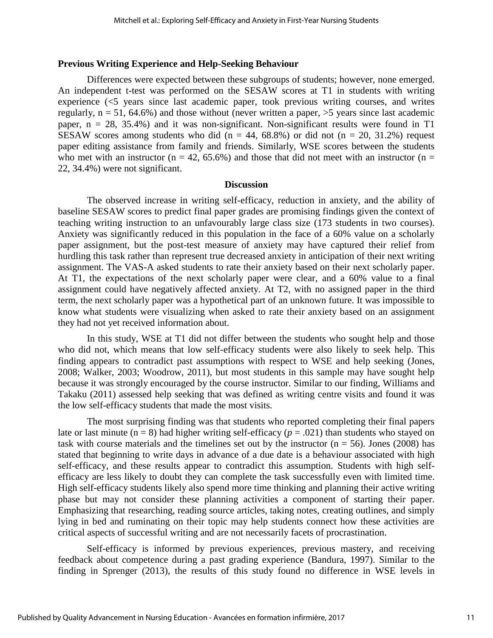#### **Previous Writing Experience and Help-Seeking Behaviour**

Differences were expected between these subgroups of students; however, none emerged. An independent t-test was performed on the SESAW scores at T1 in students with writing experience (<5 years since last academic paper, took previous writing courses, and writes regularly,  $n = 51$ , 64.6%) and those without (never written a paper,  $>5$  years since last academic paper,  $n = 28$ , 35.4%) and it was non-significant. Non-significant results were found in T1 SESAW scores among students who did ( $n = 44, 68.8\%$ ) or did not ( $n = 20, 31.2\%$ ) request paper editing assistance from family and friends. Similarly, WSE scores between the students who met with an instructor (n = 42, 65.6%) and those that did not meet with an instructor (n = 22, 34.4%) were not significant.

#### **Discussion**

The observed increase in writing self-efficacy, reduction in anxiety, and the ability of baseline SESAW scores to predict final paper grades are promising findings given the context of teaching writing instruction to an unfavourably large class size (173 students in two courses). Anxiety was significantly reduced in this population in the face of a 60% value on a scholarly paper assignment, but the post-test measure of anxiety may have captured their relief from hurdling this task rather than represent true decreased anxiety in anticipation of their next writing assignment. The VAS-A asked students to rate their anxiety based on their next scholarly paper. At T1, the expectations of the next scholarly paper were clear, and a 60% value to a final assignment could have negatively affected anxiety. At T2, with no assigned paper in the third term, the next scholarly paper was a hypothetical part of an unknown future. It was impossible to know what students were visualizing when asked to rate their anxiety based on an assignment they had not yet received information about.

In this study, WSE at T1 did not differ between the students who sought help and those who did not, which means that low self-efficacy students were also likely to seek help. This finding appears to contradict past assumptions with respect to WSE and help seeking (Jones, 2008; Walker, 2003; Woodrow, 2011), but most students in this sample may have sought help because it was strongly encouraged by the course instructor. Similar to our finding, Williams and Takaku (2011) assessed help seeking that was defined as writing centre visits and found it was the low self-efficacy students that made the most visits.

The most surprising finding was that students who reported completing their final papers late or last minute ( $n = 8$ ) had higher writing self-efficacy ( $p = .021$ ) than students who stayed on task with course materials and the timelines set out by the instructor ( $n = 56$ ). Jones (2008) has stated that beginning to write days in advance of a due date is a behaviour associated with high self-efficacy, and these results appear to contradict this assumption. Students with high selfefficacy are less likely to doubt they can complete the task successfully even with limited time. High self-efficacy students likely also spend more time thinking and planning their active writing phase but may not consider these planning activities a component of starting their paper. Emphasizing that researching, reading source articles, taking notes, creating outlines, and simply lying in bed and ruminating on their topic may help students connect how these activities are critical aspects of successful writing and are not necessarily facets of procrastination.

Self-efficacy is informed by previous experiences, previous mastery, and receiving feedback about competence during a past grading experience (Bandura, 1997). Similar to the finding in Sprenger (2013), the results of this study found no difference in WSE levels in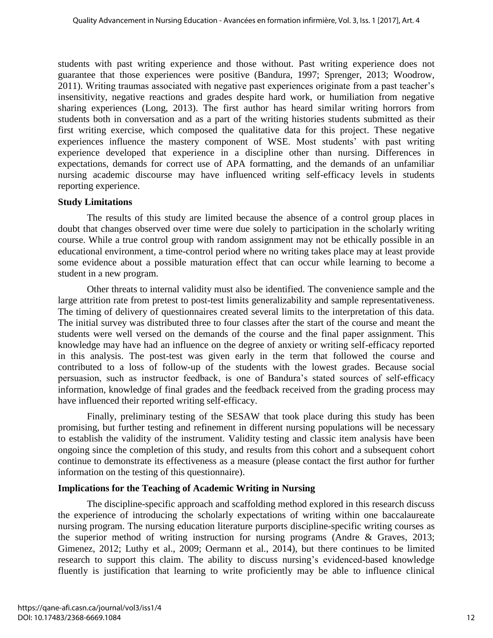students with past writing experience and those without. Past writing experience does not guarantee that those experiences were positive (Bandura, 1997; Sprenger, 2013; Woodrow, 2011). Writing traumas associated with negative past experiences originate from a past teacher's insensitivity, negative reactions and grades despite hard work, or humiliation from negative sharing experiences (Long, 2013). The first author has heard similar writing horrors from students both in conversation and as a part of the writing histories students submitted as their first writing exercise, which composed the qualitative data for this project. These negative experiences influence the mastery component of WSE. Most students' with past writing experience developed that experience in a discipline other than nursing. Differences in expectations, demands for correct use of APA formatting, and the demands of an unfamiliar nursing academic discourse may have influenced writing self-efficacy levels in students reporting experience.

#### **Study Limitations**

The results of this study are limited because the absence of a control group places in doubt that changes observed over time were due solely to participation in the scholarly writing course. While a true control group with random assignment may not be ethically possible in an educational environment, a time-control period where no writing takes place may at least provide some evidence about a possible maturation effect that can occur while learning to become a student in a new program.

Other threats to internal validity must also be identified. The convenience sample and the large attrition rate from pretest to post-test limits generalizability and sample representativeness. The timing of delivery of questionnaires created several limits to the interpretation of this data. The initial survey was distributed three to four classes after the start of the course and meant the students were well versed on the demands of the course and the final paper assignment. This knowledge may have had an influence on the degree of anxiety or writing self-efficacy reported in this analysis. The post-test was given early in the term that followed the course and contributed to a loss of follow-up of the students with the lowest grades. Because social persuasion, such as instructor feedback, is one of Bandura's stated sources of self-efficacy information, knowledge of final grades and the feedback received from the grading process may have influenced their reported writing self-efficacy.

Finally, preliminary testing of the SESAW that took place during this study has been promising, but further testing and refinement in different nursing populations will be necessary to establish the validity of the instrument. Validity testing and classic item analysis have been ongoing since the completion of this study, and results from this cohort and a subsequent cohort continue to demonstrate its effectiveness as a measure (please contact the first author for further information on the testing of this questionnaire).

#### **Implications for the Teaching of Academic Writing in Nursing**

The discipline-specific approach and scaffolding method explored in this research discuss the experience of introducing the scholarly expectations of writing within one baccalaureate nursing program. The nursing education literature purports discipline-specific writing courses as the superior method of writing instruction for nursing programs (Andre & Graves, 2013; Gimenez, 2012; Luthy et al., 2009; Oermann et al., 2014), but there continues to be limited research to support this claim. The ability to discuss nursing's evidenced-based knowledge fluently is justification that learning to write proficiently may be able to influence clinical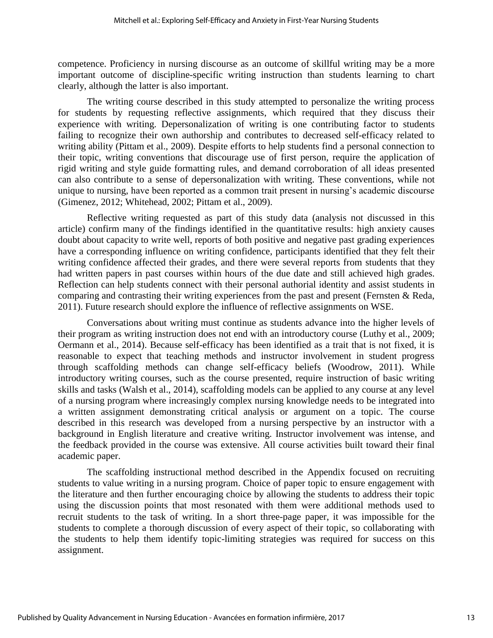competence. Proficiency in nursing discourse as an outcome of skillful writing may be a more important outcome of discipline-specific writing instruction than students learning to chart clearly, although the latter is also important.

The writing course described in this study attempted to personalize the writing process for students by requesting reflective assignments, which required that they discuss their experience with writing. Depersonalization of writing is one contributing factor to students failing to recognize their own authorship and contributes to decreased self-efficacy related to writing ability (Pittam et al., 2009). Despite efforts to help students find a personal connection to their topic, writing conventions that discourage use of first person, require the application of rigid writing and style guide formatting rules, and demand corroboration of all ideas presented can also contribute to a sense of depersonalization with writing. These conventions, while not unique to nursing, have been reported as a common trait present in nursing's academic discourse (Gimenez, 2012; Whitehead, 2002; Pittam et al., 2009).

Reflective writing requested as part of this study data (analysis not discussed in this article) confirm many of the findings identified in the quantitative results: high anxiety causes doubt about capacity to write well, reports of both positive and negative past grading experiences have a corresponding influence on writing confidence, participants identified that they felt their writing confidence affected their grades, and there were several reports from students that they had written papers in past courses within hours of the due date and still achieved high grades. Reflection can help students connect with their personal authorial identity and assist students in comparing and contrasting their writing experiences from the past and present (Fernsten & Reda, 2011). Future research should explore the influence of reflective assignments on WSE.

Conversations about writing must continue as students advance into the higher levels of their program as writing instruction does not end with an introductory course (Luthy et al., 2009; Oermann et al., 2014). Because self-efficacy has been identified as a trait that is not fixed, it is reasonable to expect that teaching methods and instructor involvement in student progress through scaffolding methods can change self-efficacy beliefs (Woodrow, 2011). While introductory writing courses, such as the course presented, require instruction of basic writing skills and tasks (Walsh et al., 2014), scaffolding models can be applied to any course at any level of a nursing program where increasingly complex nursing knowledge needs to be integrated into a written assignment demonstrating critical analysis or argument on a topic. The course described in this research was developed from a nursing perspective by an instructor with a background in English literature and creative writing. Instructor involvement was intense, and the feedback provided in the course was extensive. All course activities built toward their final academic paper.

The scaffolding instructional method described in the Appendix focused on recruiting students to value writing in a nursing program. Choice of paper topic to ensure engagement with the literature and then further encouraging choice by allowing the students to address their topic using the discussion points that most resonated with them were additional methods used to recruit students to the task of writing. In a short three-page paper, it was impossible for the students to complete a thorough discussion of every aspect of their topic, so collaborating with the students to help them identify topic-limiting strategies was required for success on this assignment.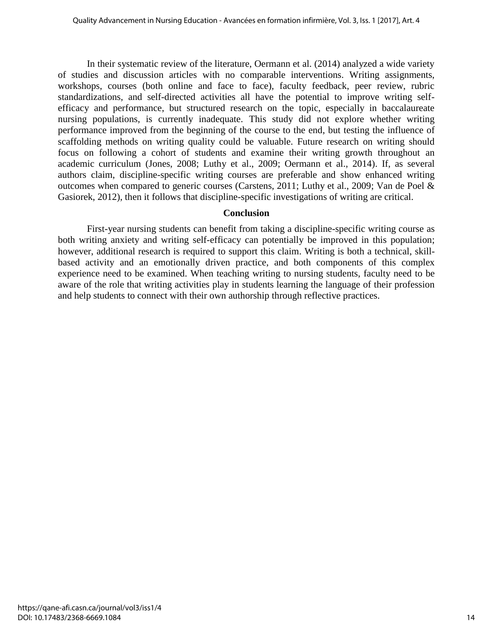In their systematic review of the literature, Oermann et al. (2014) analyzed a wide variety of studies and discussion articles with no comparable interventions. Writing assignments, workshops, courses (both online and face to face), faculty feedback, peer review, rubric standardizations, and self-directed activities all have the potential to improve writing selfefficacy and performance, but structured research on the topic, especially in baccalaureate nursing populations, is currently inadequate. This study did not explore whether writing performance improved from the beginning of the course to the end, but testing the influence of scaffolding methods on writing quality could be valuable. Future research on writing should focus on following a cohort of students and examine their writing growth throughout an academic curriculum (Jones, 2008; Luthy et al., 2009; Oermann et al., 2014). If, as several authors claim, discipline-specific writing courses are preferable and show enhanced writing outcomes when compared to generic courses (Carstens, 2011; Luthy et al., 2009; Van de Poel & Gasiorek, 2012), then it follows that discipline-specific investigations of writing are critical.

#### **Conclusion**

First-year nursing students can benefit from taking a discipline-specific writing course as both writing anxiety and writing self-efficacy can potentially be improved in this population; however, additional research is required to support this claim. Writing is both a technical, skillbased activity and an emotionally driven practice, and both components of this complex experience need to be examined. When teaching writing to nursing students, faculty need to be aware of the role that writing activities play in students learning the language of their profession and help students to connect with their own authorship through reflective practices.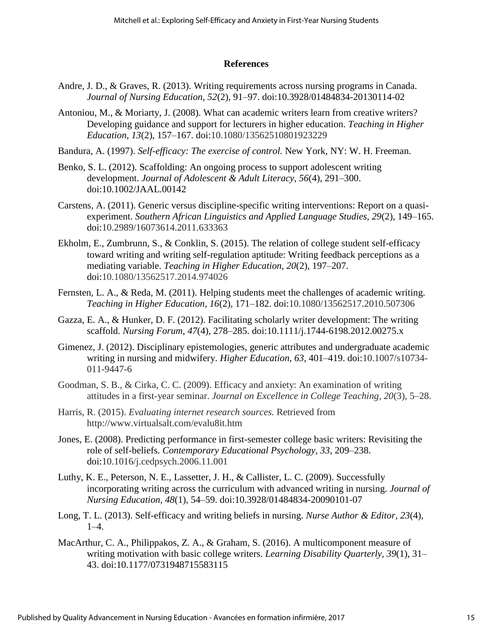#### **References**

- Andre, J. D., & Graves, R. (2013). Writing requirements across nursing programs in Canada. *Journal of Nursing Education, 52*(2), 91–97. doi[:10.3928/01484834-20130114-02](http://dx.doi.org.athena.rrc.mb.ca:2048/10.3928/01484834-20130114-02)
- Antoniou, M., & Moriarty, J. (2008). What can academic writers learn from creative writers? Developing guidance and support for lecturers in higher education. *Teaching in Higher Education, 13*(2), 157–167. doi:10.1080/13562510801923229
- Bandura, A. (1997). *Self-efficacy: The exercise of control.* New York, NY: W. H. Freeman.
- Benko, S. L. (2012). Scaffolding: An ongoing process to support adolescent writing development. *Journal of Adolescent & Adult Literacy, 56*(4), 291–300. doi:10.1002/JAAL.00142
- Carstens, A. (2011). Generic versus discipline-specific writing interventions: Report on a quasiexperiment. *Southern African Linguistics and Applied Language Studies, 29*(2), 149–165. doi:10.2989/16073614.2011.633363
- Ekholm, E., Zumbrunn, S., & Conklin, S. (2015). The relation of college student self-efficacy toward writing and writing self-regulation aptitude: Writing feedback perceptions as a mediating variable. *Teaching in Higher Education, 20*(2), 197–207. doi:10.1080/13562517.2014.974026
- Fernsten, L. A., & Reda, M. (2011). Helping students meet the challenges of academic writing. *Teaching in Higher Education, 16*(2), 171–182. doi:10.1080/13562517.2010.507306
- Gazza, E. A., & Hunker, D. F. (2012). Facilitating scholarly writer development: The writing scaffold. *Nursing Forum, 47*(4), 278–285. doi:10.1111/j.1744-6198.2012.00275.x
- Gimenez, J. (2012). Disciplinary epistemologies, generic attributes and undergraduate academic writing in nursing and midwifery. *Higher Education, 63*, 401–419. doi:10.1007/s10734- 011-9447-6
- Goodman, S. B., & Cirka, C. C. (2009). Efficacy and anxiety: An examination of writing attitudes in a first-year seminar. *Journal on Excellence in College Teaching, 20*(3), 5–28.
- Harris, R. (2015). *Evaluating internet research sources.* Retrieved from http://www.virtualsalt.com/evalu8it.htm
- Jones, E. (2008). Predicting performance in first-semester college basic writers: Revisiting the role of self-beliefs. *Contemporary Educational Psychology, 33*, 209–238. doi:10.1016/j.cedpsych.2006.11.001
- Luthy, K. E., Peterson, N. E., Lassetter, J. H., & Callister, L. C. (2009). Successfully incorporating writing across the curriculum with advanced writing in nursing. *Journal of Nursing Education, 48*(1), 54–59. doi:10.3928/01484834-20090101-07
- Long, T. L. (2013). Self-efficacy and writing beliefs in nursing. *Nurse Author & Editor*, *23*(4), 1–4.
- MacArthur, C. A., Philippakos, Z. A., & Graham, S. (2016). A multicomponent measure of writing motivation with basic college writers. *Learning Disability Quarterly, 39*(1), 31– 43. doi:10.1177/0731948715583115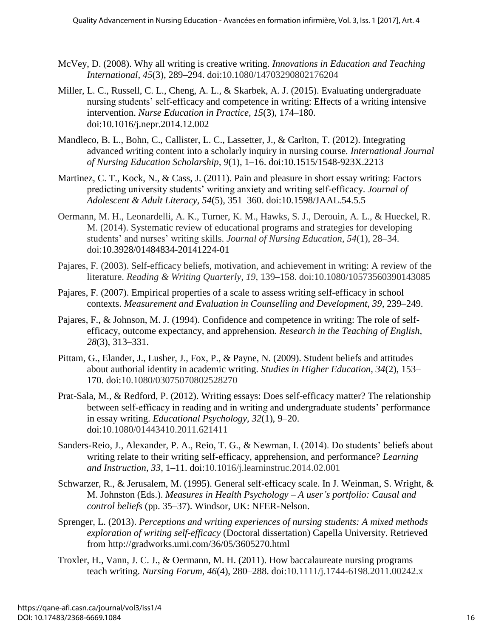- McVey, D. (2008). Why all writing is creative writing. *Innovations in Education and Teaching International, 45*(3), 289–294. doi:10.1080/14703290802176204
- Miller, L. C., Russell, C. L., Cheng, A. L., & Skarbek, A. J. (2015). Evaluating undergraduate nursing students' self-efficacy and competence in writing: Effects of a writing intensive intervention. *Nurse Education in Practice, 15*(3), 174–180. [doi:10.1016/j.nepr.2014.12.002](http://dx.doi.org/10.1016/j.nepr.2014.12.002)
- Mandleco, B. L., Bohn, C., Callister, L. C., Lassetter, J., & Carlton, T. (2012). Integrating advanced writing content into a scholarly inquiry in nursing course. *International Journal of Nursing Education Scholarship, 9*(1), 1–16. doi:10.1515/1548-923X.2213
- Martinez, C. T., Kock, N., & Cass, J. (2011). Pain and pleasure in short essay writing: Factors predicting university students' writing anxiety and writing self-efficacy. *Journal of Adolescent & Adult Literacy, 54*(5), 351–360. doi:10.1598/JAAL.54.5.5
- Oermann, M. H., Leonardelli, A. K., Turner, K. M., Hawks, S. J., Derouin, A. L., & Hueckel, R. M. (2014). Systematic review of educational programs and strategies for developing students' and nurses' writing skills. *Journal of Nursing Education, 54*(1), 28–34. doi[:10.3928/01484834-20141224-01](http://dx.doi.org.athena.rrc.mb.ca:2048/10.3928/01484834-20141224-01)
- Pajares, F. (2003). Self-efficacy beliefs, motivation, and achievement in writing: A review of the literature. *Reading & Writing Quarterly, 19*, 139–158. doi:10.1080/10573560390143085
- Pajares, F. (2007). Empirical properties of a scale to assess writing self-efficacy in school contexts. *Measurement and Evaluation in Counselling and Development, 39*, 239–249.
- Pajares, F., & Johnson, M. J. (1994). Confidence and competence in writing: The role of selfefficacy, outcome expectancy, and apprehension. *Research in the Teaching of English, 28*(3), 313–331.
- Pittam, G., Elander, J., Lusher, J., Fox, P., & Payne, N. (2009). Student beliefs and attitudes about authorial identity in academic writing. *Studies in Higher Education, 34*(2), 153– 170. doi:10.1080/03075070802528270
- Prat-Sala, M., & Redford, P. (2012). Writing essays: Does self-efficacy matter? The relationship between self-efficacy in reading and in writing and undergraduate students' performance in essay writing. *Educational Psychology, 32*(1), 9–20. doi:10.1080/01443410.2011.621411
- Sanders-Reio, J., Alexander, P. A., Reio, T. G., & Newman, I. (2014). Do students' beliefs about writing relate to their writing self-efficacy, apprehension, and performance? *Learning and Instruction, 33*, 1–11. doi:10.1016/j.learninstruc.2014.02.001
- Schwarzer, R., & Jerusalem, M. (1995). General self-efficacy scale. In J. Weinman, S. Wright, & M. Johnston (Eds.). *Measures in Health Psychology – A user's portfolio: Causal and control beliefs* (pp. 35–37). Windsor, UK: NFER-Nelson.
- Sprenger, L. (2013). *Perceptions and writing experiences of nursing students: A mixed methods exploration of writing self-efficacy* (Doctoral dissertation) Capella University. Retrieved from http://gradworks.umi.com/36/05/3605270.html
- Troxler, H., Vann, J. C. J., & Oermann, M. H. (2011). How baccalaureate nursing programs teach writing. *Nursing Forum, 46*(4), 280–288. doi:10.1111/j.1744-6198.2011.00242.x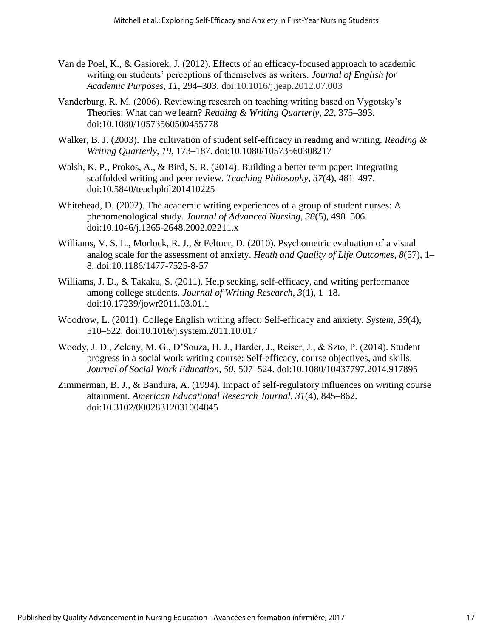- Van de Poel, K., & Gasiorek, J. (2012). Effects of an efficacy-focused approach to academic writing on students' perceptions of themselves as writers. *Journal of English for Academic Purposes, 11*, 294–303. doi:10.1016/j.jeap.2012.07.003
- Vanderburg, R. M. (2006). Reviewing research on teaching writing based on Vygotsky's Theories: What can we learn? *Reading & Writing Quarterly, 22*, 375–393. doi:10.1080/10573560500455778
- Walker, B. J. (2003). The cultivation of student self-efficacy in reading and writing. *Reading & Writing Quarterly, 19*, 173–187. doi:10.1080/10573560308217
- Walsh, K. P., Prokos, A., & Bird, S. R. (2014). Building a better term paper: Integrating scaffolded writing and peer review. *Teaching Philosophy, 37*(4), 481–497. doi:10.5840/teachphil201410225
- Whitehead, D. (2002). The academic writing experiences of a group of student nurses: A phenomenological study. *Journal of Advanced Nursing, 38*(5), 498–506. doi:10.1046/j.1365-2648.2002.02211.x
- Williams, V. S. L., Morlock, R. J., & Feltner, D. (2010). Psychometric evaluation of a visual analog scale for the assessment of anxiety. *Heath and Quality of Life Outcomes, 8*(57), 1– 8. doi:10.1186/1477-7525-8-57
- Williams, J. D., & Takaku, S. (2011). Help seeking, self-efficacy, and writing performance among college students. *Journal of Writing Research, 3*(1), 1–18. doi:10.17239/jowr2011.03.01.1
- Woodrow, L. (2011). College English writing affect: Self-efficacy and anxiety. *System, 39*(4), 510–522. doi:10.1016/j.system.2011.10.017
- Woody, J. D., Zeleny, M. G., D'Souza, H. J., Harder, J., Reiser, J., & Szto, P. (2014). Student progress in a social work writing course: Self-efficacy, course objectives, and skills. *Journal of Social Work Education, 50*, 507–524. doi:10.1080/10437797.2014.917895
- Zimmerman, B. J., & Bandura, A. (1994). Impact of self-regulatory influences on writing course attainment. *American Educational Research Journal, 31*(4), 845–862. doi:10.3102/00028312031004845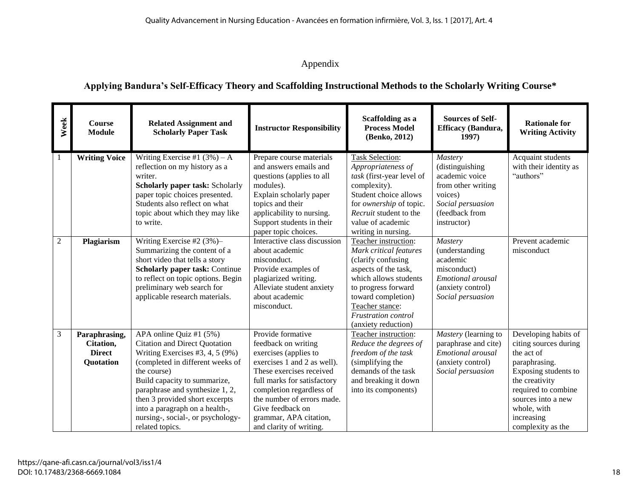# Appendix

# **Applying Bandura's Self-Efficacy Theory and Scaffolding Instructional Methods to the Scholarly Writing Course\***

| Week       | Course<br><b>Module</b>                                  | <b>Related Assignment and</b><br><b>Scholarly Paper Task</b>                                                                                                                                                                                                                                                                                             | <b>Instructor Responsibility</b>                                                                                                                                                                                                                                                               | <b>Scaffolding as a</b><br><b>Process Model</b><br>(Benko, 2012)                                                                                                                                                                    | <b>Sources of Self-</b><br>Efficacy (Bandura,<br>1997)                                                                              | <b>Rationale for</b><br><b>Writing Activity</b>                                                                                                                                                                       |
|------------|----------------------------------------------------------|----------------------------------------------------------------------------------------------------------------------------------------------------------------------------------------------------------------------------------------------------------------------------------------------------------------------------------------------------------|------------------------------------------------------------------------------------------------------------------------------------------------------------------------------------------------------------------------------------------------------------------------------------------------|-------------------------------------------------------------------------------------------------------------------------------------------------------------------------------------------------------------------------------------|-------------------------------------------------------------------------------------------------------------------------------------|-----------------------------------------------------------------------------------------------------------------------------------------------------------------------------------------------------------------------|
| 1          | <b>Writing Voice</b>                                     | Writing Exercise #1 $(3\%)$ – A<br>reflection on my history as a<br>writer.<br>Scholarly paper task: Scholarly<br>paper topic choices presented.<br>Students also reflect on what<br>topic about which they may like<br>to write.                                                                                                                        | Prepare course materials<br>and answers emails and<br>questions (applies to all<br>modules).<br>Explain scholarly paper<br>topics and their<br>applicability to nursing.<br>Support students in their<br>paper topic choices.                                                                  | <b>Task Selection:</b><br>Appropriateness of<br>task (first-year level of<br>complexity).<br>Student choice allows<br>for ownership of topic.<br>Recruit student to the<br>value of academic<br>writing in nursing.                 | Mastery<br>(distinguishing<br>academic voice<br>from other writing<br>voices)<br>Social persuasion<br>(feedback from<br>instructor) | Acquaint students<br>with their identity as<br>"authors"                                                                                                                                                              |
| $\sqrt{2}$ | Plagiarism                                               | Writing Exercise #2 $(3%)$<br>Summarizing the content of a<br>short video that tells a story<br><b>Scholarly paper task: Continue</b><br>to reflect on topic options. Begin<br>preliminary web search for<br>applicable research materials.                                                                                                              | Interactive class discussion<br>about academic<br>misconduct.<br>Provide examples of<br>plagiarized writing.<br>Alleviate student anxiety<br>about academic<br>misconduct.                                                                                                                     | Teacher instruction:<br>Mark critical features<br>(clarify confusing<br>aspects of the task,<br>which allows students<br>to progress forward<br>toward completion)<br>Teacher stance:<br>Frustration control<br>(anxiety reduction) | Mastery<br>(understanding<br>academic<br>misconduct)<br>Emotional arousal<br>(anxiety control)<br>Social persuasion                 | Prevent academic<br>misconduct                                                                                                                                                                                        |
| 3          | Paraphrasing,<br>Citation,<br><b>Direct</b><br>Quotation | APA online Quiz #1 $(5%)$<br><b>Citation and Direct Quotation</b><br>Writing Exercises $#3, 4, 5 (9%)$<br>(completed in different weeks of<br>the course)<br>Build capacity to summarize,<br>paraphrase and synthesize 1, 2,<br>then 3 provided short excerpts<br>into a paragraph on a health-,<br>nursing-, social-, or psychology-<br>related topics. | Provide formative<br>feedback on writing<br>exercises (applies to<br>exercises 1 and 2 as well).<br>These exercises received<br>full marks for satisfactory<br>completion regardless of<br>the number of errors made.<br>Give feedback on<br>grammar, APA citation,<br>and clarity of writing. | Teacher instruction:<br>Reduce the degrees of<br>freedom of the task<br>(simplifying the<br>demands of the task<br>and breaking it down<br>into its components)                                                                     | Mastery (learning to<br>paraphrase and cite)<br>Emotional arousal<br>(anxiety control)<br>Social persuasion                         | Developing habits of<br>citing sources during<br>the act of<br>paraphrasing.<br>Exposing students to<br>the creativity<br>required to combine<br>sources into a new<br>whole, with<br>increasing<br>complexity as the |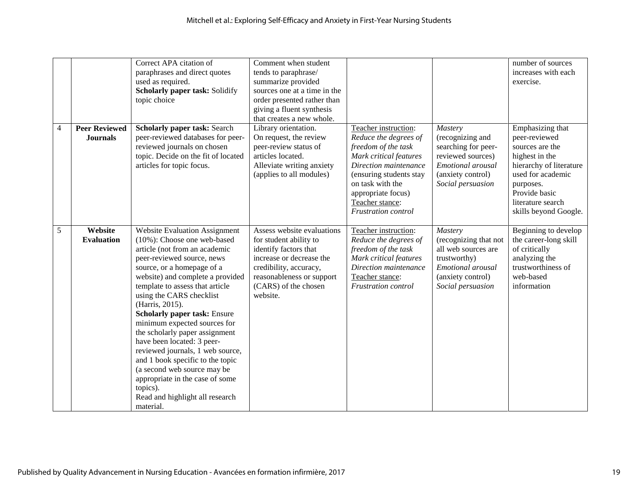|                |                                         | Correct APA citation of<br>paraphrases and direct quotes<br>used as required.<br>Scholarly paper task: Solidify<br>topic choice                                                                                                                                                                                                                                                                                                                                                                                                                                                                                                         | Comment when student<br>tends to paraphrase/<br>summarize provided<br>sources one at a time in the<br>order presented rather than<br>giving a fluent synthesis<br>that creates a new whole.          |                                                                                                                                                                                                                                               |                                                                                                                                        | number of sources<br>increases with each<br>exercise.                                                                                                                                              |
|----------------|-----------------------------------------|-----------------------------------------------------------------------------------------------------------------------------------------------------------------------------------------------------------------------------------------------------------------------------------------------------------------------------------------------------------------------------------------------------------------------------------------------------------------------------------------------------------------------------------------------------------------------------------------------------------------------------------------|------------------------------------------------------------------------------------------------------------------------------------------------------------------------------------------------------|-----------------------------------------------------------------------------------------------------------------------------------------------------------------------------------------------------------------------------------------------|----------------------------------------------------------------------------------------------------------------------------------------|----------------------------------------------------------------------------------------------------------------------------------------------------------------------------------------------------|
| $\overline{4}$ | <b>Peer Reviewed</b><br><b>Journals</b> | <b>Scholarly paper task: Search</b><br>peer-reviewed databases for peer-<br>reviewed journals on chosen<br>topic. Decide on the fit of located<br>articles for topic focus.                                                                                                                                                                                                                                                                                                                                                                                                                                                             | Library orientation.<br>On request, the review<br>peer-review status of<br>articles located.<br>Alleviate writing anxiety<br>(applies to all modules)                                                | Teacher instruction:<br>Reduce the degrees of<br>freedom of the task<br>Mark critical features<br>Direction maintenance<br>(ensuring students stay<br>on task with the<br>appropriate focus)<br>Teacher stance:<br><b>Frustration</b> control | Mastery<br>(recognizing and<br>searching for peer-<br>reviewed sources)<br>Emotional arousal<br>(anxiety control)<br>Social persuasion | Emphasizing that<br>peer-reviewed<br>sources are the<br>highest in the<br>hierarchy of literature<br>used for academic<br>purposes.<br>Provide basic<br>literature search<br>skills beyond Google. |
| 5              | Website<br><b>Evaluation</b>            | <b>Website Evaluation Assignment</b><br>$(10\%)$ : Choose one web-based<br>article (not from an academic<br>peer-reviewed source, news<br>source, or a homepage of a<br>website) and complete a provided<br>template to assess that article<br>using the CARS checklist<br>(Harris, 2015).<br><b>Scholarly paper task: Ensure</b><br>minimum expected sources for<br>the scholarly paper assignment<br>have been located: 3 peer-<br>reviewed journals, 1 web source,<br>and 1 book specific to the topic<br>(a second web source may be<br>appropriate in the case of some<br>topics).<br>Read and highlight all research<br>material. | Assess website evaluations<br>for student ability to<br>identify factors that<br>increase or decrease the<br>credibility, accuracy,<br>reasonableness or support<br>(CARS) of the chosen<br>website. | Teacher instruction:<br>Reduce the degrees of<br>freedom of the task<br>Mark critical features<br>Direction maintenance<br>Teacher stance:<br><b>Frustration</b> control                                                                      | Mastery<br>(recognizing that not<br>all web sources are<br>trustworthy)<br>Emotional arousal<br>(anxiety control)<br>Social persuasion | Beginning to develop<br>the career-long skill<br>of critically<br>analyzing the<br>trustworthiness of<br>web-based<br>information                                                                  |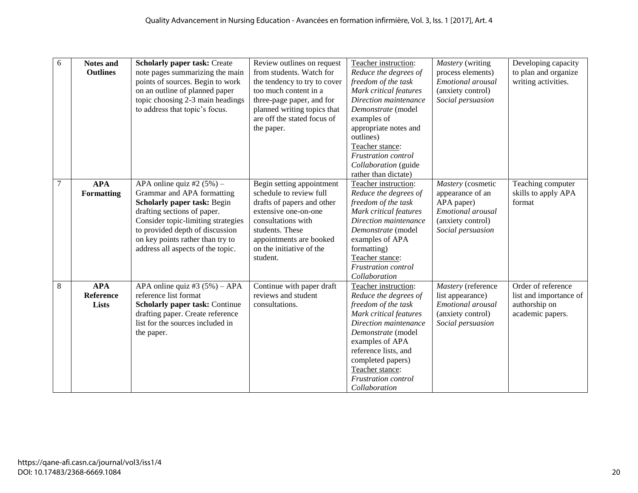| 6              | <b>Notes and</b><br><b>Outlines</b>     | <b>Scholarly paper task: Create</b><br>note pages summarizing the main<br>points of sources. Begin to work<br>on an outline of planned paper<br>topic choosing 2-3 main headings<br>to address that topic's focus.                                                         | Review outlines on request<br>from students. Watch for<br>the tendency to try to cover<br>too much content in a<br>three-page paper, and for<br>planned writing topics that<br>are off the stated focus of<br>the paper. | Teacher instruction:<br>Reduce the degrees of<br>freedom of the task<br>Mark critical features<br>Direction maintenance<br>Demonstrate (model<br>examples of<br>appropriate notes and<br>outlines)<br>Teacher stance:<br><b>Frustration</b> control<br>Collaboration (guide<br>rather than dictate) | Mastery (writing<br>process elements)<br>Emotional arousal<br>(anxiety control)<br>Social persuasion               | Developing capacity<br>to plan and organize<br>writing activities.                |
|----------------|-----------------------------------------|----------------------------------------------------------------------------------------------------------------------------------------------------------------------------------------------------------------------------------------------------------------------------|--------------------------------------------------------------------------------------------------------------------------------------------------------------------------------------------------------------------------|-----------------------------------------------------------------------------------------------------------------------------------------------------------------------------------------------------------------------------------------------------------------------------------------------------|--------------------------------------------------------------------------------------------------------------------|-----------------------------------------------------------------------------------|
| $\overline{7}$ | <b>APA</b><br>Formatting                | APA online quiz #2 $(5\%)$ –<br>Grammar and APA formatting<br>Scholarly paper task: Begin<br>drafting sections of paper.<br>Consider topic-limiting strategies<br>to provided depth of discussion<br>on key points rather than try to<br>address all aspects of the topic. | Begin setting appointment<br>schedule to review full<br>drafts of papers and other<br>extensive one-on-one<br>consultations with<br>students. These<br>appointments are booked<br>on the initiative of the<br>student.   | Teacher instruction:<br>Reduce the degrees of<br>freedom of the task<br>Mark critical features<br>Direction maintenance<br>Demonstrate (model<br>examples of APA<br>formatting)<br>Teacher stance:<br><b>Frustration</b> control<br>Collaboration                                                   | Mastery (cosmetic<br>appearance of an<br>APA paper)<br>Emotional arousal<br>(anxiety control)<br>Social persuasion | Teaching computer<br>skills to apply APA<br>format                                |
| $\,8\,$        | <b>APA</b><br><b>Reference</b><br>Lists | APA online quiz #3 $(5%) - APA$<br>reference list format<br><b>Scholarly paper task: Continue</b><br>drafting paper. Create reference<br>list for the sources included in<br>the paper.                                                                                    | Continue with paper draft<br>reviews and student<br>consultations.                                                                                                                                                       | Teacher instruction:<br>Reduce the degrees of<br>freedom of the task<br>Mark critical features<br>Direction maintenance<br>Demonstrate (model<br>examples of APA<br>reference lists, and<br>completed papers)<br>Teacher stance:<br><b>Frustration</b> control<br>Collaboration                     | Mastery (reference<br>list appearance)<br>Emotional arousal<br>(anxiety control)<br>Social persuasion              | Order of reference<br>list and importance of<br>authorship on<br>academic papers. |